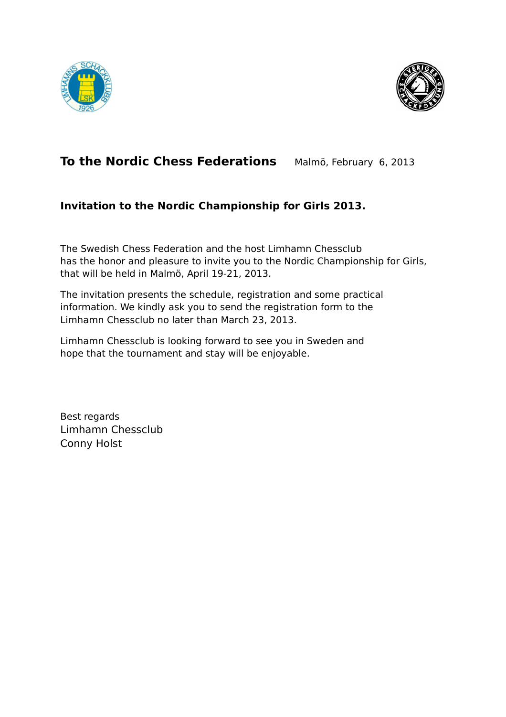



# **To the Nordic Chess Federations** Malmö, February 6, 2013

### **Invitation to the Nordic Championship for Girls 2013.**

The Swedish Chess Federation and the host Limhamn Chessclub has the honor and pleasure to invite you to the Nordic Championship for Girls, that will be held in Malmö, April 19-21, 2013.

The invitation presents the schedule, registration and some practical information. We kindly ask you to send the registration form to the Limhamn Chessclub no later than March 23, 2013.

Limhamn Chessclub is looking forward to see you in Sweden and hope that the tournament and stay will be enjoyable.

Best regards Limhamn Chessclub Conny Holst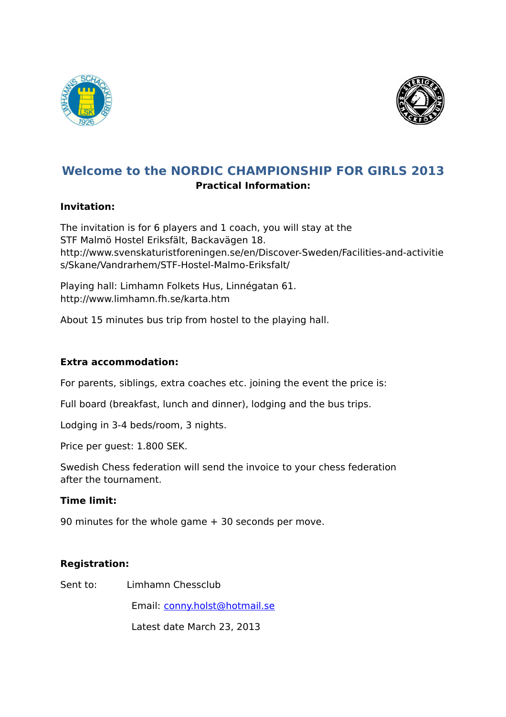



### **Welcome to the NORDIC CHAMPIONSHIP FOR GIRLS 2013 Practical Information:**

#### **Invitation:**

The invitation is for 6 players and 1 coach, you will stay at the STF Malmö Hostel Eriksfält, Backavägen 18. http://www.svenskaturistforeningen.se/en/Discover-Sweden/Facilities-and-activitie s/Skane/Vandrarhem/STF-Hostel-Malmo-Eriksfalt/

Playing hall: Limhamn Folkets Hus, Linnégatan 61. http://www.limhamn.fh.se/karta.htm

About 15 minutes bus trip from hostel to the playing hall.

#### **Extra accommodation:**

For parents, siblings, extra coaches etc. joining the event the price is:

Full board (breakfast, lunch and dinner), lodging and the bus trips.

Lodging in 3-4 beds/room, 3 nights.

Price per guest: 1.800 SEK.

Swedish Chess federation will send the invoice to your chess federation after the tournament.

#### **Time limit:**

90 minutes for the whole game + 30 seconds per move.

#### **Registration:**

Sent to: Limhamn Chessclub

Email: [conny.holst@hotmail.se](mailto:conny.holst@hotmail.se)

Latest date March 23, 2013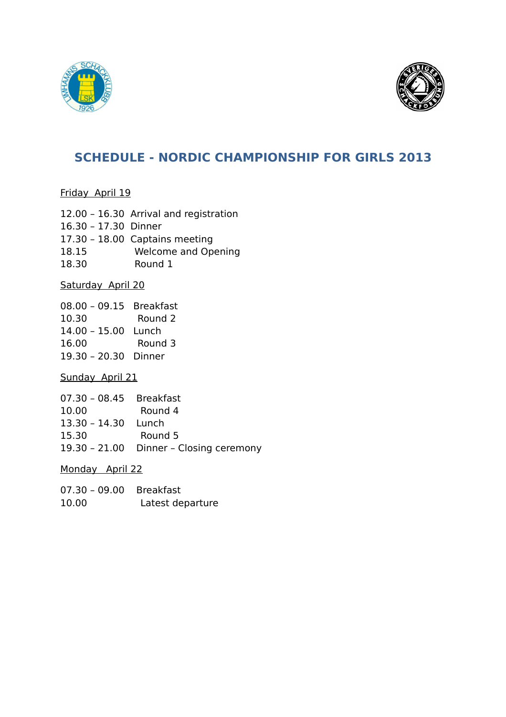



## **SCHEDULE - NORDIC CHAMPIONSHIP FOR GIRLS 2013**

Friday April 19

12.00 – 16.30 Arrival and registration 16.30 – 17.30 Dinner 17.30 – 18.00 Captains meeting 18.15 Welcome and Opening 18.30 Round 1

Saturday April 20

08.00 – 09.15 Breakfast 10.30 Round 2 14.00 – 15.00 Lunch 16.00 Round 3 19.30 – 20.30 Dinner

Sunday April 21

| 07.30 - 08.45 Breakfast |                                         |
|-------------------------|-----------------------------------------|
| 10.00                   | Round 4                                 |
| 13.30 - 14.30 Lunch     |                                         |
| 15.30                   | Round 5                                 |
|                         | 19.30 - 21.00 Dinner - Closing ceremony |
|                         |                                         |

Monday April 22

| 07.30 - 09.00 Breakfast |                  |
|-------------------------|------------------|
| 10.00                   | Latest departure |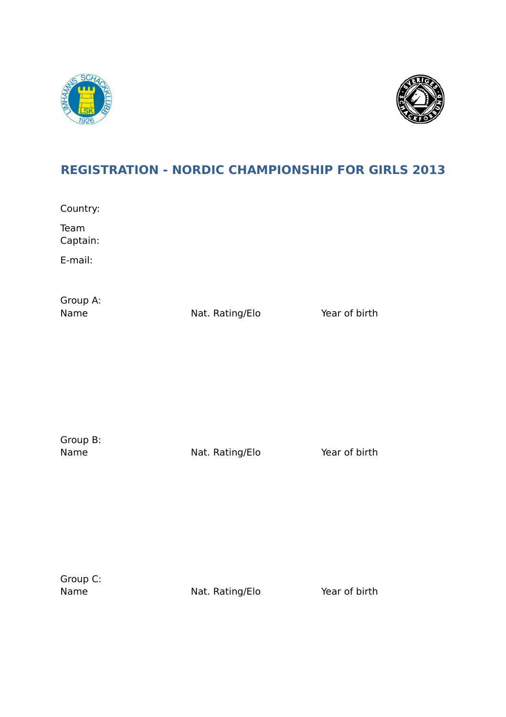



# **REGISTRATION - NORDIC CHAMPIONSHIP FOR GIRLS 2013**

Country:

Team Captain:

E-mail:

Group A:

Name Nat. Rating/Elo Year of birth

Group B:

Name Nat. Rating/Elo Year of birth

Group C:

Name Nat. Rating/Elo Year of birth